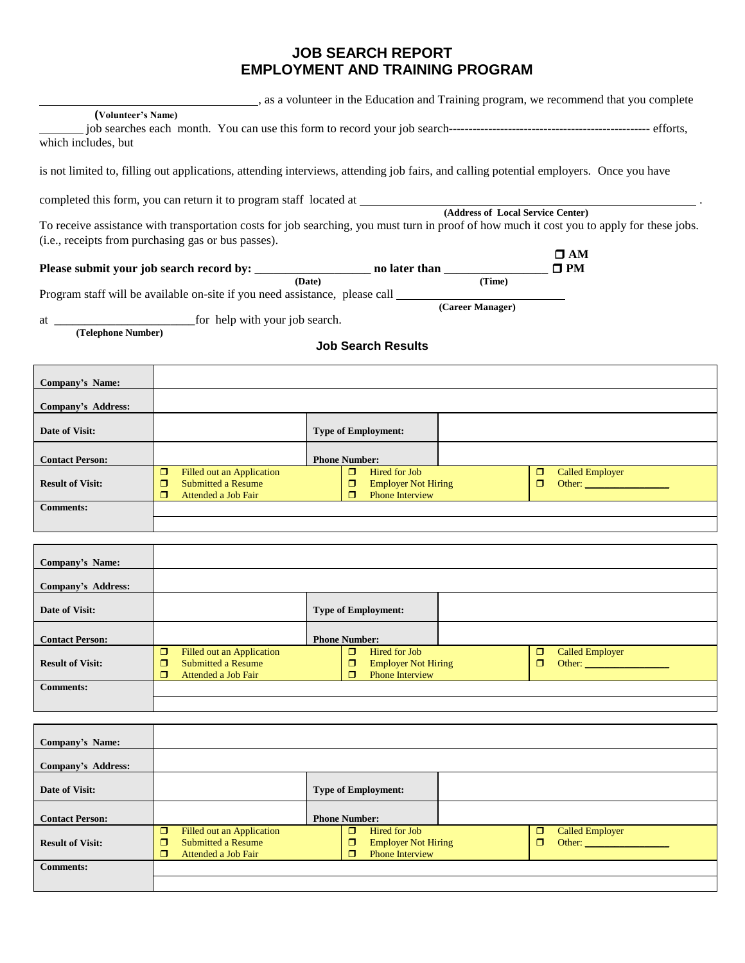## **JOB SEARCH REPORT EMPLOYMENT AND TRAINING PROGRAM**

s, as a volunteer in the Education and Training program, we recommend that you complete

## **(Volunteer's Name)**

| which includes, but |  |
|---------------------|--|

is not limited to, filling out applications, attending interviews, attending job fairs, and calling potential employers. Once you have

completed this form, you can return it to program staff located at .

**(Address of Local Service Center)**

To receive assistance with transportation costs for job searching, you must turn in proof of how much it cost you to apply for these jobs. (i.e., receipts from purchasing gas or bus passes).

| Please submit your job search record by: | no later than | $\Box$ PM |
|------------------------------------------|---------------|-----------|

 **(Date) (Time)** Program staff will be available on-site if you need assistance, please call

**(Career Manager)**

at \_\_\_\_\_\_\_\_\_\_\_\_\_\_\_\_\_\_\_\_\_\_\_for help with your job search.

 **(Telephone Number)**

**Job Search Results**

| Company's Name:           |                                                                                              |                                                                            |   |                                                                                                                                          |
|---------------------------|----------------------------------------------------------------------------------------------|----------------------------------------------------------------------------|---|------------------------------------------------------------------------------------------------------------------------------------------|
| <b>Company's Address:</b> |                                                                                              |                                                                            |   |                                                                                                                                          |
| Date of Visit:            |                                                                                              | <b>Type of Employment:</b>                                                 |   |                                                                                                                                          |
| <b>Contact Person:</b>    |                                                                                              | <b>Phone Number:</b>                                                       |   |                                                                                                                                          |
| <b>Result of Visit:</b>   | □<br>Filled out an Application<br><b>Submitted a Resume</b><br>□<br>Attended a Job Fair<br>⊓ | Hired for Job<br>⊓<br><b>Employer Not Hiring</b><br><b>Phone Interview</b> | ⊓ | <b>Called Employer</b><br>Other: and the contract of the contract of the contract of the contract of the contract of the contract of the |
| <b>Comments:</b>          |                                                                                              |                                                                            |   |                                                                                                                                          |

| Company's Name:         |                                                                                            |                                                                                      |        |                                  |
|-------------------------|--------------------------------------------------------------------------------------------|--------------------------------------------------------------------------------------|--------|----------------------------------|
| Company's Address:      |                                                                                            |                                                                                      |        |                                  |
| Date of Visit:          |                                                                                            | <b>Type of Employment:</b>                                                           |        |                                  |
| <b>Contact Person:</b>  |                                                                                            | <b>Phone Number:</b>                                                                 |        |                                  |
| <b>Result of Visit:</b> | $\Box$<br>Filled out an Application<br>Submitted a Resume<br>Π<br>σ<br>Attended a Job Fair | $\Box$<br>Hired for Job<br><b>Employer Not Hiring</b><br><b>Phone Interview</b><br>п | σ<br>п | <b>Called Employer</b><br>Other: |
| <b>Comments:</b>        |                                                                                            |                                                                                      |        |                                  |

| <b>Company's Name:</b>  |                                                                                         |                                                                                      |                                                                                                                                                                                                                                                                    |
|-------------------------|-----------------------------------------------------------------------------------------|--------------------------------------------------------------------------------------|--------------------------------------------------------------------------------------------------------------------------------------------------------------------------------------------------------------------------------------------------------------------|
| Company's Address:      |                                                                                         |                                                                                      |                                                                                                                                                                                                                                                                    |
| Date of Visit:          |                                                                                         | <b>Type of Employment:</b>                                                           |                                                                                                                                                                                                                                                                    |
| <b>Contact Person:</b>  |                                                                                         | <b>Phone Number:</b>                                                                 |                                                                                                                                                                                                                                                                    |
| <b>Result of Visit:</b> | σ<br>Filled out an Application<br><b>Submitted a Resume</b><br>Attended a Job Fair<br>⊓ | $\Box$<br>Hired for Job<br><b>Employer Not Hiring</b><br><b>Phone Interview</b><br>п | σ<br><b>Called Employer</b><br>Other: Web and the Contract of the Contract of the Contract of the Contract of the Contract of the Contract of the Contract of the Contract of the Contract of the Contract of the Contract of the Contract of the Contract of<br>7 |
| <b>Comments:</b>        |                                                                                         |                                                                                      |                                                                                                                                                                                                                                                                    |